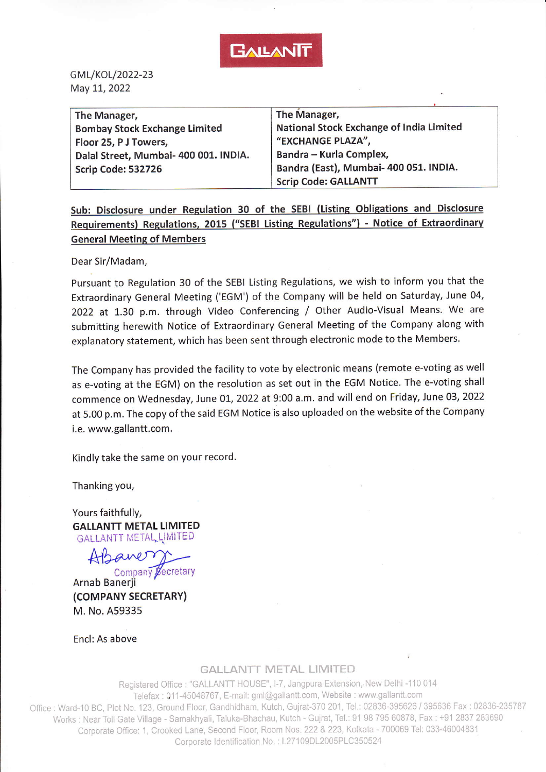

GML/KOL/2022-23 May 11, 2022

| The Manager,                          | The Manager,                             |
|---------------------------------------|------------------------------------------|
| <b>Bombay Stock Exchange Limited</b>  | National Stock Exchange of India Limited |
| Floor 25, P J Towers,                 | "EXCHANGE PLAZA",                        |
| Dalal Street, Mumbai- 400 001. INDIA. | Bandra - Kurla Complex,                  |
| Scrip Code: 532726                    | Bandra (East), Mumbai- 400 051. INDIA.   |
|                                       | <b>Scrip Code: GALLANTT</b>              |

Sub: Disclosure under Regulation 30 of the SEBI (Listing Obligations and Disclosure Requirements) Regulations, 2015 ("SEBI Listing Regulations") - Notice of Extraordinary General Meeting of Members

Dear Sir/Madam,

Pursuant to Regulation 30 of the sEBl Listing Regulations, we wish to inform you that the Extraordinary General Meeting ('EGM') of the Company will be held on Saturday, June 04, <sup>2022</sup>at 1.30 p.m. through Video Conferencing / Other Audio-Visual Means. We are submitting herewith Notice of Extraordinary General Meeting of the company along with explanatory statement, which has been sent through electronic mode to the Members.

The company has provided the facility to vote by electronic means (remote e-voting as well as e-voting at the EGM) on the resolution as set out in the EGM Notice. The e-voting shall commence on Wednesday, June 01, 2022 at 9:00 a.m. and will end on Friday, June 03, 2022 at 5.00 p.m. The copy of the said EGM Notice is also uploaded on the website of the Company i.e. www.gallantt.com.

Kindly take the same on your record.

Thanking you,

Yours faithfully, GALIANTT METAL LIMITED GALLANTT METALLIMITED

saver Company Secretary

Arnab Banerji (COMPANY SECRETARY) M. No. A59335

Encl: As above

#### **GALLANTT METAL LIMITED**

Registered Office : "GALLANTT HOUSE", I-7, Jangpura Extension, New Delhi -110 014 Telefax : 011-45048767, E-mail: gml@gallantt.com, Website : www.gallantt.com Office : Ward-10 BC, Plot No. 123, Ground Floor, Gandhidham, Kutch, Gujrat-370 201, Tel.: 02836-395626 / 395636 Fax : 02836-235787 Works : Near Toll Gate Village - Samakhyali, Taluka-Bhachau, Kutch - Gujrat, Tel.: 91 98 795 60878, Fax : +91 2837 283690 Corporate Office: 1, Crooked Lane, Second Floor, Room Nos. 222 & 223, Kolkata - 700069 Tel: 033-46004831 Corporate Identification No.: L27109DL2005PLC350524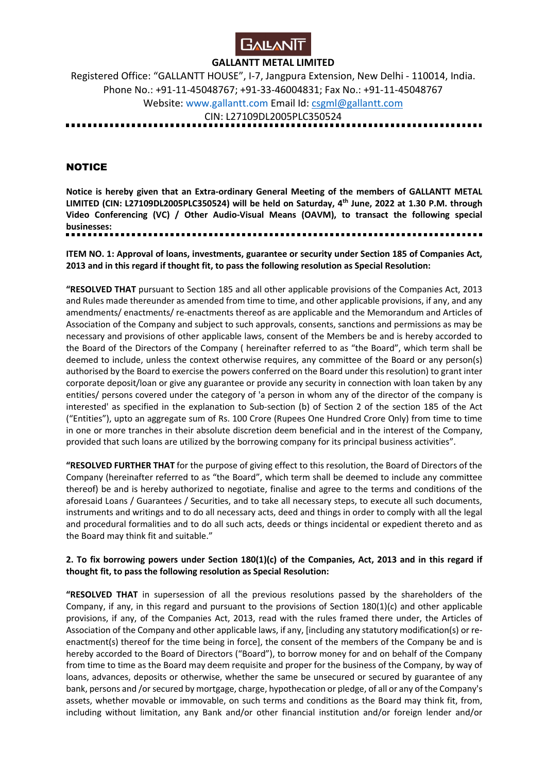

Registered Office: "GALLANTT HOUSE", I-7, Jangpura Extension, New Delhi - 110014, India. Phone No.: +91-11-45048767; +91-33-46004831; Fax No.: +91-11-45048767 Website: www.gallantt.com Email Id: csgml@gallantt.com CIN: L27109DL2005PLC350524

. . . . . . . . . . . . . . .

## **NOTICE**

**Notice is hereby given that an Extra-ordinary General Meeting of the members of GALLANTT METAL LIMITED (CIN: L27109DL2005PLC350524) will be held on Saturday, 4th June, 2022 at 1.30 P.M. through Video Conferencing (VC) / Other Audio-Visual Means (OAVM), to transact the following special businesses:**  

**ITEM NO. 1: Approval of loans, investments, guarantee or security under Section 185 of Companies Act, 2013 and in this regard if thought fit, to pass the following resolution as Special Resolution:**

**"RESOLVED THAT** pursuant to Section 185 and all other applicable provisions of the Companies Act, 2013 and Rules made thereunder as amended from time to time, and other applicable provisions, if any, and any amendments/ enactments/ re-enactments thereof as are applicable and the Memorandum and Articles of Association of the Company and subject to such approvals, consents, sanctions and permissions as may be necessary and provisions of other applicable laws, consent of the Members be and is hereby accorded to the Board of the Directors of the Company ( hereinafter referred to as "the Board", which term shall be deemed to include, unless the context otherwise requires, any committee of the Board or any person(s) authorised by the Board to exercise the powers conferred on the Board under this resolution) to grant inter corporate deposit/loan or give any guarantee or provide any security in connection with loan taken by any entities/ persons covered under the category of 'a person in whom any of the director of the company is interested' as specified in the explanation to Sub-section (b) of Section 2 of the section 185 of the Act ("Entities"), upto an aggregate sum of Rs. 100 Crore (Rupees One Hundred Crore Only) from time to time in one or more tranches in their absolute discretion deem beneficial and in the interest of the Company, provided that such loans are utilized by the borrowing company for its principal business activities".

**"RESOLVED FURTHER THAT** for the purpose of giving effect to this resolution, the Board of Directors of the Company (hereinafter referred to as "the Board", which term shall be deemed to include any committee thereof) be and is hereby authorized to negotiate, finalise and agree to the terms and conditions of the aforesaid Loans / Guarantees / Securities, and to take all necessary steps, to execute all such documents, instruments and writings and to do all necessary acts, deed and things in order to comply with all the legal and procedural formalities and to do all such acts, deeds or things incidental or expedient thereto and as the Board may think fit and suitable."

#### **2. To fix borrowing powers under Section 180(1)(c) of the Companies, Act, 2013 and in this regard if thought fit, to pass the following resolution as Special Resolution:**

**"RESOLVED THAT** in supersession of all the previous resolutions passed by the shareholders of the Company, if any, in this regard and pursuant to the provisions of Section 180(1)(c) and other applicable provisions, if any, of the Companies Act, 2013, read with the rules framed there under, the Articles of Association of the Company and other applicable laws, if any, [including any statutory modification(s) or reenactment(s) thereof for the time being in force], the consent of the members of the Company be and is hereby accorded to the Board of Directors ("Board"), to borrow money for and on behalf of the Company from time to time as the Board may deem requisite and proper for the business of the Company, by way of loans, advances, deposits or otherwise, whether the same be unsecured or secured by guarantee of any bank, persons and /or secured by mortgage, charge, hypothecation or pledge, of all or any of the Company's assets, whether movable or immovable, on such terms and conditions as the Board may think fit, from, including without limitation, any Bank and/or other financial institution and/or foreign lender and/or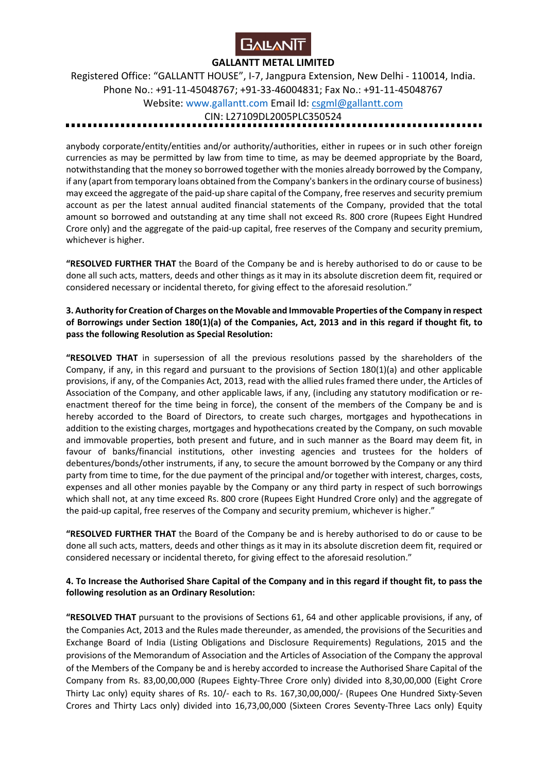

Registered Office: "GALLANTT HOUSE", I-7, Jangpura Extension, New Delhi - 110014, India. Phone No.: +91-11-45048767; +91-33-46004831; Fax No.: +91-11-45048767 Website: www.gallantt.com Email Id: csgml@gallantt.com CIN: L27109DL2005PLC350524

anybody corporate/entity/entities and/or authority/authorities, either in rupees or in such other foreign currencies as may be permitted by law from time to time, as may be deemed appropriate by the Board, notwithstanding that the money so borrowed together with the monies already borrowed by the Company, if any (apart from temporary loans obtained from the Company's bankers in the ordinary course of business) may exceed the aggregate of the paid-up share capital of the Company, free reserves and security premium account as per the latest annual audited financial statements of the Company, provided that the total amount so borrowed and outstanding at any time shall not exceed Rs. 800 crore (Rupees Eight Hundred Crore only) and the aggregate of the paid-up capital, free reserves of the Company and security premium, whichever is higher.

**"RESOLVED FURTHER THAT** the Board of the Company be and is hereby authorised to do or cause to be done all such acts, matters, deeds and other things as it may in its absolute discretion deem fit, required or considered necessary or incidental thereto, for giving effect to the aforesaid resolution."

#### **3. Authority for Creation of Charges on the Movable and Immovable Properties of the Company in respect of Borrowings under Section 180(1)(a) of the Companies, Act, 2013 and in this regard if thought fit, to pass the following Resolution as Special Resolution:**

**"RESOLVED THAT** in supersession of all the previous resolutions passed by the shareholders of the Company, if any, in this regard and pursuant to the provisions of Section 180(1)(a) and other applicable provisions, if any, of the Companies Act, 2013, read with the allied rules framed there under, the Articles of Association of the Company, and other applicable laws, if any, (including any statutory modification or reenactment thereof for the time being in force), the consent of the members of the Company be and is hereby accorded to the Board of Directors, to create such charges, mortgages and hypothecations in addition to the existing charges, mortgages and hypothecations created by the Company, on such movable and immovable properties, both present and future, and in such manner as the Board may deem fit, in favour of banks/financial institutions, other investing agencies and trustees for the holders of debentures/bonds/other instruments, if any, to secure the amount borrowed by the Company or any third party from time to time, for the due payment of the principal and/or together with interest, charges, costs, expenses and all other monies payable by the Company or any third party in respect of such borrowings which shall not, at any time exceed Rs. 800 crore (Rupees Eight Hundred Crore only) and the aggregate of the paid-up capital, free reserves of the Company and security premium, whichever is higher."

**"RESOLVED FURTHER THAT** the Board of the Company be and is hereby authorised to do or cause to be done all such acts, matters, deeds and other things as it may in its absolute discretion deem fit, required or considered necessary or incidental thereto, for giving effect to the aforesaid resolution."

## **4. To Increase the Authorised Share Capital of the Company and in this regard if thought fit, to pass the following resolution as an Ordinary Resolution:**

**"RESOLVED THAT** pursuant to the provisions of Sections 61, 64 and other applicable provisions, if any, of the Companies Act, 2013 and the Rules made thereunder, as amended, the provisions of the Securities and Exchange Board of India (Listing Obligations and Disclosure Requirements) Regulations, 2015 and the provisions of the Memorandum of Association and the Articles of Association of the Company the approval of the Members of the Company be and is hereby accorded to increase the Authorised Share Capital of the Company from Rs. 83,00,00,000 (Rupees Eighty-Three Crore only) divided into 8,30,00,000 (Eight Crore Thirty Lac only) equity shares of Rs. 10/- each to Rs. 167,30,00,000/- (Rupees One Hundred Sixty-Seven Crores and Thirty Lacs only) divided into 16,73,00,000 (Sixteen Crores Seventy-Three Lacs only) Equity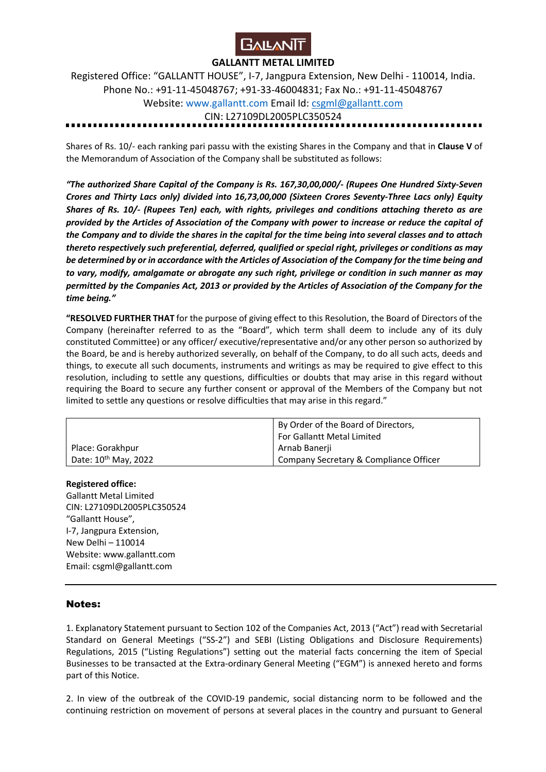

Registered Office: "GALLANTT HOUSE", I-7, Jangpura Extension, New Delhi - 110014, India. Phone No.: +91-11-45048767; +91-33-46004831; Fax No.: +91-11-45048767 Website: www.gallantt.com Email Id: csgml@gallantt.com CIN: L27109DL2005PLC350524

Shares of Rs. 10/- each ranking pari passu with the existing Shares in the Company and that in **Clause V** of the Memorandum of Association of the Company shall be substituted as follows:

*"The authorized Share Capital of the Company is Rs. 167,30,00,000/- (Rupees One Hundred Sixty-Seven Crores and Thirty Lacs only) divided into 16,73,00,000 (Sixteen Crores Seventy-Three Lacs only) Equity Shares of Rs. 10/- (Rupees Ten) each, with rights, privileges and conditions attaching thereto as are provided by the Articles of Association of the Company with power to increase or reduce the capital of the Company and to divide the shares in the capital for the time being into several classes and to attach thereto respectively such preferential, deferred, qualified or special right, privileges or conditions as may be determined by or in accordance with the Articles of Association of the Company for the time being and to vary, modify, amalgamate or abrogate any such right, privilege or condition in such manner as may permitted by the Companies Act, 2013 or provided by the Articles of Association of the Company for the time being."* 

**"RESOLVED FURTHER THAT** for the purpose of giving effect to this Resolution, the Board of Directors of the Company (hereinafter referred to as the "Board", which term shall deem to include any of its duly constituted Committee) or any officer/ executive/representative and/or any other person so authorized by the Board, be and is hereby authorized severally, on behalf of the Company, to do all such acts, deeds and things, to execute all such documents, instruments and writings as may be required to give effect to this resolution, including to settle any questions, difficulties or doubts that may arise in this regard without requiring the Board to secure any further consent or approval of the Members of the Company but not limited to settle any questions or resolve difficulties that may arise in this regard."

|                                  | By Order of the Board of Directors,    |
|----------------------------------|----------------------------------------|
|                                  | For Gallantt Metal Limited             |
| Place: Gorakhpur                 | Arnab Banerji                          |
| Date: 10 <sup>th</sup> May, 2022 | Company Secretary & Compliance Officer |

#### **Registered office:**

Gallantt Metal Limited CIN: L27109DL2005PLC350524 "Gallantt House", I-7, Jangpura Extension, New Delhi – 110014 Website: www.gallantt.com Email: csgml@gallantt.com

#### Notes:

1. Explanatory Statement pursuant to Section 102 of the Companies Act, 2013 ("Act") read with Secretarial Standard on General Meetings ("SS-2") and SEBI (Listing Obligations and Disclosure Requirements) Regulations, 2015 ("Listing Regulations") setting out the material facts concerning the item of Special Businesses to be transacted at the Extra-ordinary General Meeting ("EGM") is annexed hereto and forms part of this Notice.

2. In view of the outbreak of the COVID-19 pandemic, social distancing norm to be followed and the continuing restriction on movement of persons at several places in the country and pursuant to General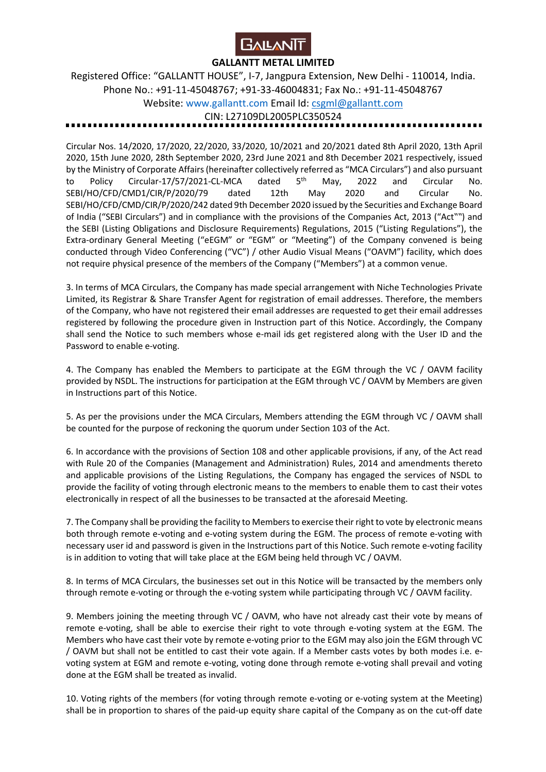

Registered Office: "GALLANTT HOUSE", I-7, Jangpura Extension, New Delhi - 110014, India. Phone No.: +91-11-45048767; +91-33-46004831; Fax No.: +91-11-45048767 Website: www.gallantt.com Email Id: csgml@gallantt.com

CIN: L27109DL2005PLC350524

Circular Nos. 14/2020, 17/2020, 22/2020, 33/2020, 10/2021 and 20/2021 dated 8th April 2020, 13th April 2020, 15th June 2020, 28th September 2020, 23rd June 2021 and 8th December 2021 respectively, issued by the Ministry of Corporate Affairs (hereinafter collectively referred as "MCA Circulars") and also pursuant to Policy Circular-17/57/2021-CL-MCA dated 5<sup>th</sup> May, 2022 and Circular No. SEBI/HO/CFD/CMD1/CIR/P/2020/79 dated 12th May 2020 and Circular No. SEBI/HO/CFD/CMD/CIR/P/2020/242 dated 9th December 2020 issued by the Securities and Exchange Board of India ("SEBI Circulars") and in compliance with the provisions of the Companies Act, 2013 ("Act"") and the SEBI (Listing Obligations and Disclosure Requirements) Regulations, 2015 ("Listing Regulations"), the Extra-ordinary General Meeting ("eEGM" or "EGM" or "Meeting") of the Company convened is being conducted through Video Conferencing ("VC") / other Audio Visual Means ("OAVM") facility, which does not require physical presence of the members of the Company ("Members") at a common venue.

3. In terms of MCA Circulars, the Company has made special arrangement with Niche Technologies Private Limited, its Registrar & Share Transfer Agent for registration of email addresses. Therefore, the members of the Company, who have not registered their email addresses are requested to get their email addresses registered by following the procedure given in Instruction part of this Notice. Accordingly, the Company shall send the Notice to such members whose e-mail ids get registered along with the User ID and the Password to enable e-voting.

4. The Company has enabled the Members to participate at the EGM through the VC / OAVM facility provided by NSDL. The instructions for participation at the EGM through VC / OAVM by Members are given in Instructions part of this Notice.

5. As per the provisions under the MCA Circulars, Members attending the EGM through VC / OAVM shall be counted for the purpose of reckoning the quorum under Section 103 of the Act.

6. In accordance with the provisions of Section 108 and other applicable provisions, if any, of the Act read with Rule 20 of the Companies (Management and Administration) Rules, 2014 and amendments thereto and applicable provisions of the Listing Regulations, the Company has engaged the services of NSDL to provide the facility of voting through electronic means to the members to enable them to cast their votes electronically in respect of all the businesses to be transacted at the aforesaid Meeting.

7. The Company shall be providing the facility to Members to exercise their right to vote by electronic means both through remote e-voting and e-voting system during the EGM. The process of remote e-voting with necessary user id and password is given in the Instructions part of this Notice. Such remote e-voting facility is in addition to voting that will take place at the EGM being held through VC / OAVM.

8. In terms of MCA Circulars, the businesses set out in this Notice will be transacted by the members only through remote e-voting or through the e-voting system while participating through VC / OAVM facility.

9. Members joining the meeting through VC / OAVM, who have not already cast their vote by means of remote e-voting, shall be able to exercise their right to vote through e-voting system at the EGM. The Members who have cast their vote by remote e-voting prior to the EGM may also join the EGM through VC / OAVM but shall not be entitled to cast their vote again. If a Member casts votes by both modes i.e. evoting system at EGM and remote e-voting, voting done through remote e-voting shall prevail and voting done at the EGM shall be treated as invalid.

10. Voting rights of the members (for voting through remote e-voting or e-voting system at the Meeting) shall be in proportion to shares of the paid-up equity share capital of the Company as on the cut-off date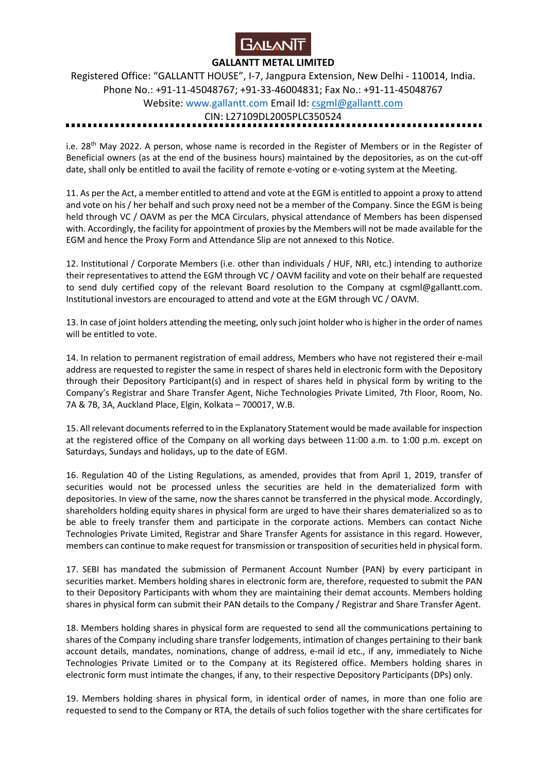

Registered Office: "GALLANTT HOUSE", I-7, Jangpura Extension, New Delhi - 110014, India. Phone No.: +91-11-45048767; +91-33-46004831; Fax No.: +91-11-45048767 Website: www.gallantt.com Email Id: csgml@gallantt.com CIN: L27109DL2005PLC350524

i.e. 28th May 2022. A person, whose name is recorded in the Register of Members or in the Register of Beneficial owners (as at the end of the business hours) maintained by the depositories, as on the cut-off date, shall only be entitled to avail the facility of remote e-voting or e-voting system at the Meeting.

11. As per the Act, a member entitled to attend and vote at the EGM is entitled to appoint a proxy to attend and vote on his / her behalf and such proxy need not be a member of the Company. Since the EGM is being held through VC / OAVM as per the MCA Circulars, physical attendance of Members has been dispensed with. Accordingly, the facility for appointment of proxies by the Members will not be made available for the EGM and hence the Proxy Form and Attendance Slip are not annexed to this Notice.

12. Institutional / Corporate Members (i.e. other than individuals / HUF, NRI, etc.) intending to authorize their representatives to attend the EGM through VC / OAVM facility and vote on their behalf are requested to send duly certified copy of the relevant Board resolution to the Company at csgml@gallantt.com. Institutional investors are encouraged to attend and vote at the EGM through VC / OAVM.

13. In case of joint holders attending the meeting, only such joint holder who is higher in the order of names will be entitled to vote.

14. In relation to permanent registration of email address, Members who have not registered their e-mail address are requested to register the same in respect of shares held in electronic form with the Depository through their Depository Participant(s) and in respect of shares held in physical form by writing to the Company's Registrar and Share Transfer Agent, Niche Technologies Private Limited, 7th Floor, Room, No. 7A & 7B, 3A, Auckland Place, Elgin, Kolkata – 700017, W.B.

15. All relevant documents referred to in the Explanatory Statement would be made available for inspection at the registered office of the Company on all working days between 11:00 a.m. to 1:00 p.m. except on Saturdays, Sundays and holidays, up to the date of EGM.

16. Regulation 40 of the Listing Regulations, as amended, provides that from April 1, 2019, transfer of securities would not be processed unless the securities are held in the dematerialized form with depositories. In view of the same, now the shares cannot be transferred in the physical mode. Accordingly, shareholders holding equity shares in physical form are urged to have their shares dematerialized so as to be able to freely transfer them and participate in the corporate actions. Members can contact Niche Technologies Private Limited, Registrar and Share Transfer Agents for assistance in this regard. However, members can continue to make request for transmission or transposition of securities held in physical form.

17. SEBI has mandated the submission of Permanent Account Number (PAN) by every participant in securities market. Members holding shares in electronic form are, therefore, requested to submit the PAN to their Depository Participants with whom they are maintaining their demat accounts. Members holding shares in physical form can submit their PAN details to the Company / Registrar and Share Transfer Agent.

18. Members holding shares in physical form are requested to send all the communications pertaining to shares of the Company including share transfer lodgements, intimation of changes pertaining to their bank account details, mandates, nominations, change of address, e-mail id etc., if any, immediately to Niche Technologies Private Limited or to the Company at its Registered office. Members holding shares in electronic form must intimate the changes, if any, to their respective Depository Participants (DPs) only.

19. Members holding shares in physical form, in identical order of names, in more than one folio are requested to send to the Company or RTA, the details of such folios together with the share certificates for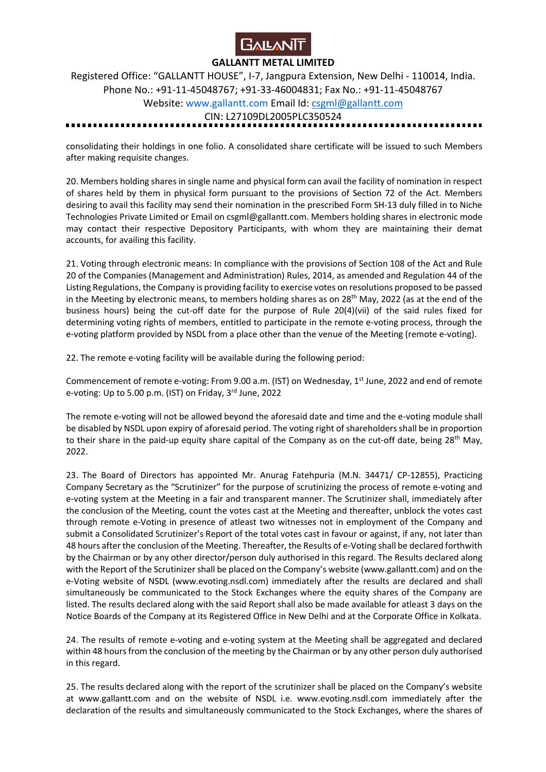

Registered Office: "GALLANTT HOUSE", I-7, Jangpura Extension, New Delhi - 110014, India. Phone No.: +91-11-45048767; +91-33-46004831; Fax No.: +91-11-45048767 Website: www.gallantt.com Email Id: csgml@gallantt.com CIN: L27109DL2005PLC350524

consolidating their holdings in one folio. A consolidated share certificate will be issued to such Members after making requisite changes.

20. Members holding shares in single name and physical form can avail the facility of nomination in respect of shares held by them in physical form pursuant to the provisions of Section 72 of the Act. Members desiring to avail this facility may send their nomination in the prescribed Form SH-13 duly filled in to Niche Technologies Private Limited or Email on csgml@gallantt.com. Members holding shares in electronic mode may contact their respective Depository Participants, with whom they are maintaining their demat accounts, for availing this facility.

21. Voting through electronic means: In compliance with the provisions of Section 108 of the Act and Rule 20 of the Companies (Management and Administration) Rules, 2014, as amended and Regulation 44 of the Listing Regulations, the Company is providing facility to exercise votes on resolutions proposed to be passed in the Meeting by electronic means, to members holding shares as on 28th May, 2022 (as at the end of the business hours) being the cut-off date for the purpose of Rule 20(4)(vii) of the said rules fixed for determining voting rights of members, entitled to participate in the remote e-voting process, through the e-voting platform provided by NSDL from a place other than the venue of the Meeting (remote e-voting).

22. The remote e-voting facility will be available during the following period:

Commencement of remote e-voting: From 9.00 a.m. (IST) on Wednesday, 1<sup>st</sup> June, 2022 and end of remote e-voting: Up to 5.00 p.m. (IST) on Friday, 3rd June, 2022

The remote e-voting will not be allowed beyond the aforesaid date and time and the e-voting module shall be disabled by NSDL upon expiry of aforesaid period. The voting right of shareholders shall be in proportion to their share in the paid-up equity share capital of the Company as on the cut-off date, being 28<sup>th</sup> May, 2022.

23. The Board of Directors has appointed Mr. Anurag Fatehpuria (M.N. 34471/ CP-12855), Practicing Company Secretary as the "Scrutinizer" for the purpose of scrutinizing the process of remote e-voting and e-voting system at the Meeting in a fair and transparent manner. The Scrutinizer shall, immediately after the conclusion of the Meeting, count the votes cast at the Meeting and thereafter, unblock the votes cast through remote e-Voting in presence of atleast two witnesses not in employment of the Company and submit a Consolidated Scrutinizer's Report of the total votes cast in favour or against, if any, not later than 48 hours after the conclusion of the Meeting. Thereafter, the Results of e-Voting shall be declared forthwith by the Chairman or by any other director/person duly authorised in this regard. The Results declared along with the Report of the Scrutinizer shall be placed on the Company's website (www.gallantt.com) and on the e-Voting website of NSDL (www.evoting.nsdl.com) immediately after the results are declared and shall simultaneously be communicated to the Stock Exchanges where the equity shares of the Company are listed. The results declared along with the said Report shall also be made available for atleast 3 days on the Notice Boards of the Company at its Registered Office in New Delhi and at the Corporate Office in Kolkata.

24. The results of remote e-voting and e-voting system at the Meeting shall be aggregated and declared within 48 hours from the conclusion of the meeting by the Chairman or by any other person duly authorised in this regard.

25. The results declared along with the report of the scrutinizer shall be placed on the Company's website at www.gallantt.com and on the website of NSDL i.e. www.evoting.nsdl.com immediately after the declaration of the results and simultaneously communicated to the Stock Exchanges, where the shares of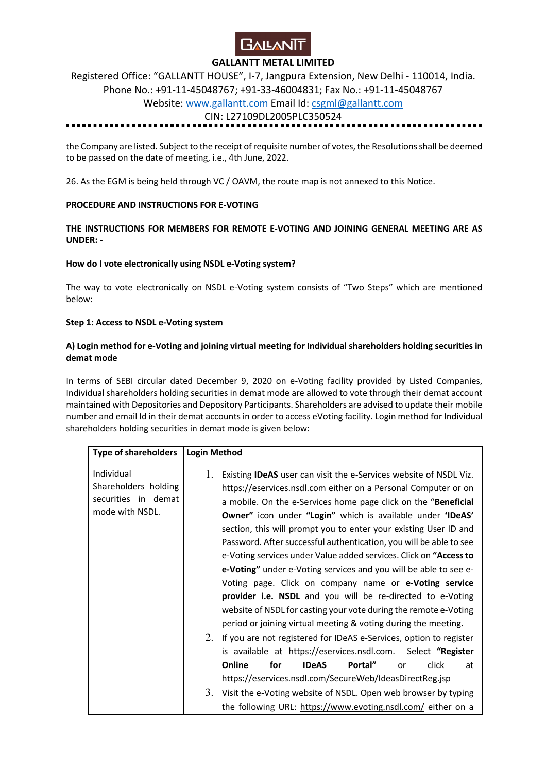

Registered Office: "GALLANTT HOUSE", I-7, Jangpura Extension, New Delhi - 110014, India. Phone No.: +91-11-45048767; +91-33-46004831; Fax No.: +91-11-45048767

## Website: www.gallantt.com Email Id: csgml@gallantt.com

#### CIN: L27109DL2005PLC350524

the Company are listed. Subject to the receipt of requisite number of votes, the Resolutions shall be deemed to be passed on the date of meeting, i.e., 4th June, 2022.

26. As the EGM is being held through VC / OAVM, the route map is not annexed to this Notice.

#### **PROCEDURE AND INSTRUCTIONS FOR E-VOTING**

#### **THE INSTRUCTIONS FOR MEMBERS FOR REMOTE E-VOTING AND JOINING GENERAL MEETING ARE AS UNDER: -**

#### **How do I vote electronically using NSDL e-Voting system?**

The way to vote electronically on NSDL e-Voting system consists of "Two Steps" which are mentioned below:

#### **Step 1: Access to NSDL e-Voting system**

#### **A) Login method for e-Voting and joining virtual meeting for Individual shareholders holding securities in demat mode**

In terms of SEBI circular dated December 9, 2020 on e-Voting facility provided by Listed Companies, Individual shareholders holding securities in demat mode are allowed to vote through their demat account maintained with Depositories and Depository Participants. Shareholders are advised to update their mobile number and email Id in their demat accounts in order to access eVoting facility. Login method for Individual shareholders holding securities in demat mode is given below:

| <b>Type of shareholders</b>                                                  | <b>Login Method</b>                                                                                                                                                                                                                                                                                                                                                                                                                                                                                                                                                                                                                                                                                                                                                                                                               |
|------------------------------------------------------------------------------|-----------------------------------------------------------------------------------------------------------------------------------------------------------------------------------------------------------------------------------------------------------------------------------------------------------------------------------------------------------------------------------------------------------------------------------------------------------------------------------------------------------------------------------------------------------------------------------------------------------------------------------------------------------------------------------------------------------------------------------------------------------------------------------------------------------------------------------|
| Individual<br>Shareholders holding<br>securities in demat<br>mode with NSDL. | Existing <b>IDeAS</b> user can visit the e-Services website of NSDL Viz.<br>1.<br>https://eservices.nsdl.com either on a Personal Computer or on<br>a mobile. On the e-Services home page click on the "Beneficial<br>Owner" icon under "Login" which is available under 'IDeAS'<br>section, this will prompt you to enter your existing User ID and<br>Password. After successful authentication, you will be able to see<br>e-Voting services under Value added services. Click on "Access to<br>e-Voting" under e-Voting services and you will be able to see e-<br>Voting page. Click on company name or e-Voting service<br>provider i.e. NSDL and you will be re-directed to e-Voting<br>website of NSDL for casting your vote during the remote e-Voting<br>period or joining virtual meeting & voting during the meeting. |
|                                                                              | 2.<br>If you are not registered for IDeAS e-Services, option to register<br>is available at https://eservices.nsdl.com. Select "Register<br>Online<br>for<br><b>IDeAS</b><br>Portal"<br>click<br>at<br>or<br>https://eservices.nsdl.com/SecureWeb/IdeasDirectReg.jsp<br>3. Visit the e-Voting website of NSDL. Open web browser by typing                                                                                                                                                                                                                                                                                                                                                                                                                                                                                         |
|                                                                              | the following URL: https://www.evoting.nsdl.com/ either on a                                                                                                                                                                                                                                                                                                                                                                                                                                                                                                                                                                                                                                                                                                                                                                      |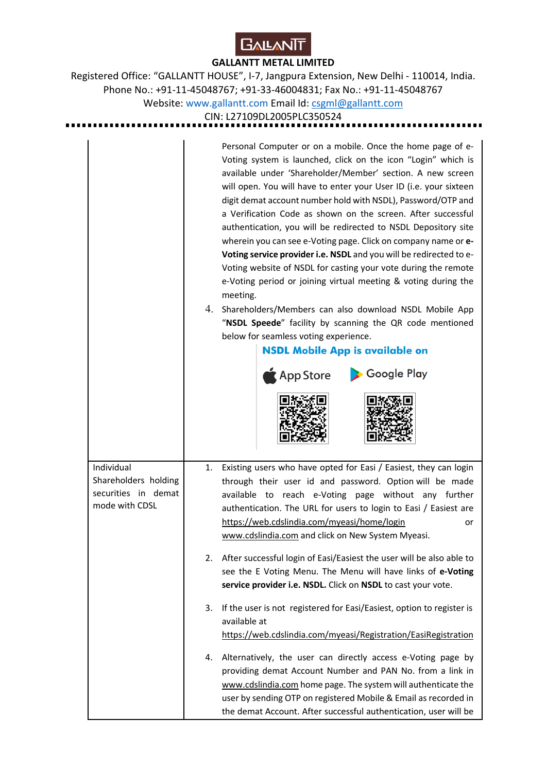

Registered Office: "GALLANTT HOUSE", I-7, Jangpura Extension, New Delhi - 110014, India. Phone No.: +91-11-45048767; +91-33-46004831; Fax No.: +91-11-45048767 Website: www.gallantt.com Email Id: csgml@gallantt.com

CIN: L27109DL2005PLC350524

Personal Computer or on a mobile. Once the home page of e-Voting system is launched, click on the icon "Login" which is available under 'Shareholder/Member' section. A new screen will open. You will have to enter your User ID (i.e. your sixteen digit demat account number hold with NSDL), Password/OTP and a Verification Code as shown on the screen. After successful authentication, you will be redirected to NSDL Depository site wherein you can see e-Voting page. Click on company name or **e-Voting service provider i.e. NSDL** and you will be redirected to e-Voting website of NSDL for casting your vote during the remote e-Voting period or joining virtual meeting & voting during the meeting. 4. Shareholders/Members can also download NSDL Mobile App "**NSDL Speede**" facility by scanning the QR code mentioned below for seamless voting experience. **NSDL Mobile App is available on** Google Play **App Store** 1. Existing users who have opted for Easi / Easiest, they can login Individual Shareholders holding through their user id and password. Option will be made securities in demat available to reach e-Voting page without any further mode with CDSL authentication. The URL for users to login to Easi / Easiest are https://web.cdslindia.com/myeasi/home/login or www.cdslindia.com and click on New System Myeasi. 2. After successful login of Easi/Easiest the user will be also able to see the E Voting Menu. The Menu will have links of **e-Voting service provider i.e. NSDL.** Click on **NSDL** to cast your vote. 3. If the user is not registered for Easi/Easiest, option to register is available at https://web.cdslindia.com/myeasi/Registration/EasiRegistration 4. Alternatively, the user can directly access e-Voting page by providing demat Account Number and PAN No. from a link in www.cdslindia.com home page. The system will authenticate the user by sending OTP on registered Mobile & Email as recorded in the demat Account. After successful authentication, user will be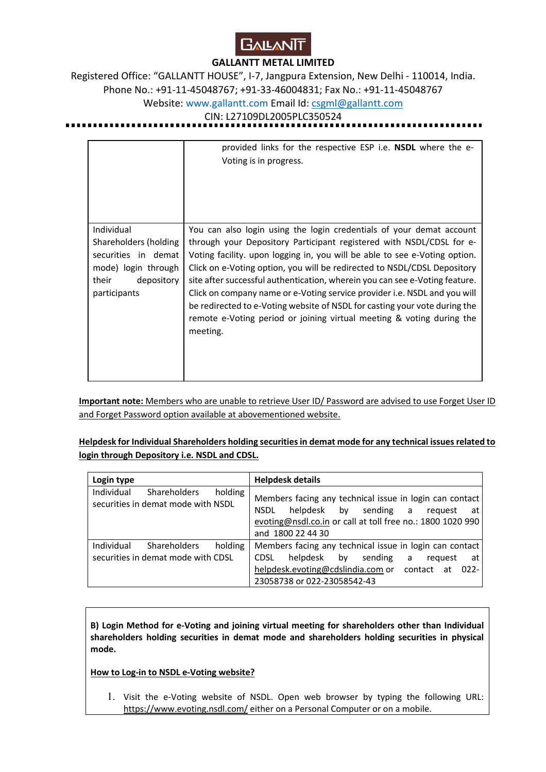

Registered Office: "GALLANTT HOUSE", I-7, Jangpura Extension, New Delhi - 110014, India. Phone No.: +91-11-45048767; +91-33-46004831; Fax No.: +91-11-45048767 Website: www.gallantt.com Email Id: csgml@gallantt.com

#### CIN: L27109DL2005PLC350524

|                                                                                                                          | provided links for the respective ESP i.e. <b>NSDL</b> where the e-<br>Voting is in progress.                                                                                                                                                                                                                                                                                                                                                                                                                                                                                                                                         |
|--------------------------------------------------------------------------------------------------------------------------|---------------------------------------------------------------------------------------------------------------------------------------------------------------------------------------------------------------------------------------------------------------------------------------------------------------------------------------------------------------------------------------------------------------------------------------------------------------------------------------------------------------------------------------------------------------------------------------------------------------------------------------|
| Individual<br>Shareholders (holding<br>securities in demat<br>mode) login through<br>depository<br>their<br>participants | You can also login using the login credentials of your demat account<br>through your Depository Participant registered with NSDL/CDSL for e-<br>Voting facility. upon logging in, you will be able to see e-Voting option.<br>Click on e-Voting option, you will be redirected to NSDL/CDSL Depository<br>site after successful authentication, wherein you can see e-Voting feature.<br>Click on company name or e-Voting service provider i.e. NSDL and you will<br>be redirected to e-Voting website of NSDL for casting your vote during the<br>remote e-Voting period or joining virtual meeting & voting during the<br>meeting. |

**Important note:** Members who are unable to retrieve User ID/ Password are advised to use Forget User ID and Forget Password option available at abovementioned website.

**Helpdesk for Individual Shareholders holding securities in demat mode for any technical issues related to login through Depository i.e. NSDL and CDSL.** 

| Login type |                                                           |         | <b>Helpdesk details</b> |                                                                                                                                                        |    |           |   |         |         |
|------------|-----------------------------------------------------------|---------|-------------------------|--------------------------------------------------------------------------------------------------------------------------------------------------------|----|-----------|---|---------|---------|
| Individual | <b>Shareholders</b><br>securities in demat mode with NSDL | holding | <b>NSDL</b>             | Members facing any technical issue in login can contact<br>helpdesk<br>evoting@nsdl.co.in or call at toll free no.: 1800 1020 990<br>and 1800 22 44 30 | by | sending a |   | request | at      |
| Individual | Shareholders                                              | holding |                         | Members facing any technical issue in login can contact                                                                                                |    |           |   |         |         |
|            | securities in demat mode with CDSL                        |         | <b>CDSL</b>             | helpdesk by                                                                                                                                            |    | sending   | a | request | at      |
|            |                                                           |         |                         | helpdesk.evoting@cdslindia.com or contact at                                                                                                           |    |           |   |         | $022 -$ |
|            |                                                           |         |                         | 23058738 or 022-23058542-43                                                                                                                            |    |           |   |         |         |

**B) Login Method for e-Voting and joining virtual meeting for shareholders other than Individual shareholders holding securities in demat mode and shareholders holding securities in physical mode.** 

**How to Log-in to NSDL e-Voting website?**

1. Visit the e-Voting website of NSDL. Open web browser by typing the following URL: https://www.evoting.nsdl.com/ either on a Personal Computer or on a mobile.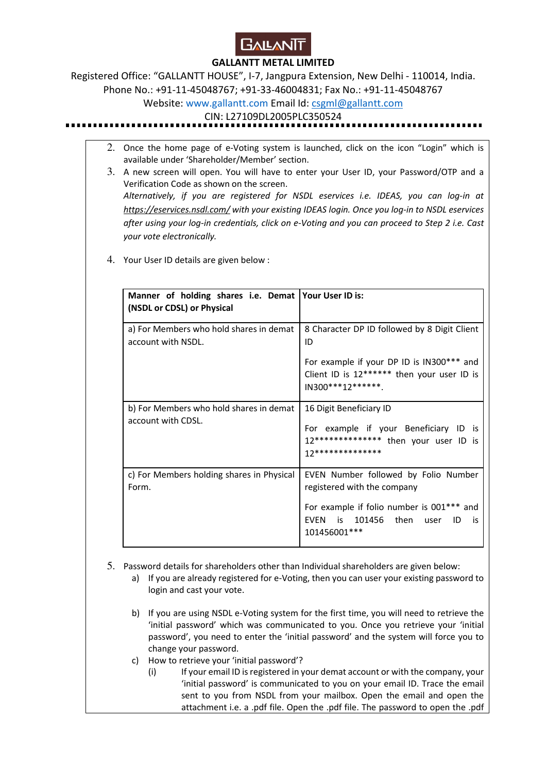

Registered Office: "GALLANTT HOUSE", I-7, Jangpura Extension, New Delhi - 110014, India. Phone No.: +91-11-45048767; +91-33-46004831; Fax No.: +91-11-45048767

Website: www.gallantt.com Email Id: csgml@gallantt.com

CIN: L27109DL2005PLC350524

- 2. Once the home page of e-Voting system is launched, click on the icon "Login" which is available under 'Shareholder/Member' section.
- 3. A new screen will open. You will have to enter your User ID, your Password/OTP and a Verification Code as shown on the screen. *Alternatively, if you are registered for NSDL eservices i.e. IDEAS, you can log-in at https://eservices.nsdl.com/ with your existing IDEAS login. Once you log-in to NSDL eservices after using your log-in credentials, click on e-Voting and you can proceed to Step 2 i.e. Cast your vote electronically.*
- 4. Your User ID details are given below :

| Manner of holding shares i.e. Demat Your User ID is:          |                                                                                                               |
|---------------------------------------------------------------|---------------------------------------------------------------------------------------------------------------|
| (NSDL or CDSL) or Physical                                    |                                                                                                               |
| a) For Members who hold shares in demat<br>account with NSDL. | 8 Character DP ID followed by 8 Digit Client<br>ID                                                            |
|                                                               | For example if your DP ID is IN300*** and<br>Client ID is 12****** then your user ID is<br>$IN300***12******$ |
| b) For Members who hold shares in demat                       | 16 Digit Beneficiary ID                                                                                       |
| account with CDSL.                                            | For example if your Beneficiary ID is<br>12************** then your user ID is<br>17**************            |
| c) For Members holding shares in Physical<br>Form.            | EVEN Number followed by Folio Number<br>registered with the company                                           |
|                                                               | For example if folio number is 001*** and<br>EVEN is 101456 then user<br>ID<br>is<br>101456001***             |

- 5. Password details for shareholders other than Individual shareholders are given below:
	- a) If you are already registered for e-Voting, then you can user your existing password to login and cast your vote.
	- b) If you are using NSDL e-Voting system for the first time, you will need to retrieve the 'initial password' which was communicated to you. Once you retrieve your 'initial password', you need to enter the 'initial password' and the system will force you to change your password.
	- c) How to retrieve your 'initial password'?
		- (i) If your email ID is registered in your demat account or with the company, your 'initial password' is communicated to you on your email ID. Trace the email sent to you from NSDL from your mailbox. Open the email and open the attachment i.e. a .pdf file. Open the .pdf file. The password to open the .pdf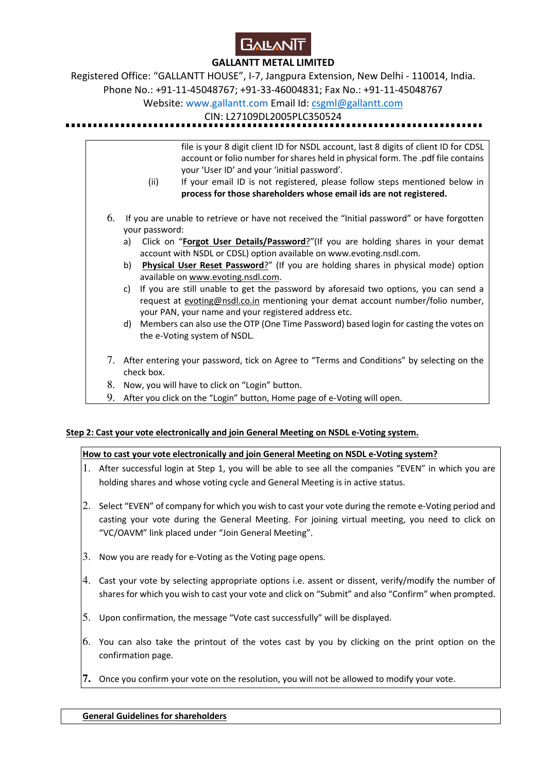

Registered Office: "GALLANTT HOUSE", I-7, Jangpura Extension, New Delhi - 110014, India.

Phone No.: +91-11-45048767; +91-33-46004831; Fax No.: +91-11-45048767

Website: www.gallantt.com Email Id: csgml@gallantt.com

CIN: L27109DL2005PLC350524

file is your 8 digit client ID for NSDL account, last 8 digits of client ID for CDSL account or folio number for shares held in physical form. The .pdf file contains your 'User ID' and your 'initial password'.

- (ii) If your email ID is not registered, please follow steps mentioned below in **process for those shareholders whose email ids are not registered.**
- 6. If you are unable to retrieve or have not received the "Initial password" or have forgotten your password:
	- a) Click on "**Forgot User Details/Password**?"(If you are holding shares in your demat account with NSDL or CDSL) option available on www.evoting.nsdl.com.
	- b) **Physical User Reset Password**?" (If you are holding shares in physical mode) option available on www.evoting.nsdl.com.
	- c) If you are still unable to get the password by aforesaid two options, you can send a request at evoting@nsdl.co.in mentioning your demat account number/folio number, your PAN, your name and your registered address etc.
	- d) Members can also use the OTP (One Time Password) based login for casting the votes on the e-Voting system of NSDL.
- 7. After entering your password, tick on Agree to "Terms and Conditions" by selecting on the check box.
- 8. Now, you will have to click on "Login" button.
- 9. After you click on the "Login" button, Home page of e-Voting will open.

## **Step 2: Cast your vote electronically and join General Meeting on NSDL e-Voting system.**

## **How to cast your vote electronically and join General Meeting on NSDL e-Voting system?**

- 1. After successful login at Step 1, you will be able to see all the companies "EVEN" in which you are holding shares and whose voting cycle and General Meeting is in active status.
- 2. Select "EVEN" of company for which you wish to cast your vote during the remote e-Voting period and casting your vote during the General Meeting. For joining virtual meeting, you need to click on "VC/OAVM" link placed under "Join General Meeting".
- 3. Now you are ready for e-Voting as the Voting page opens.
- 4. Cast your vote by selecting appropriate options i.e. assent or dissent, verify/modify the number of shares for which you wish to cast your vote and click on "Submit" and also "Confirm" when prompted.
- 5. Upon confirmation, the message "Vote cast successfully" will be displayed.
- 6. You can also take the printout of the votes cast by you by clicking on the print option on the confirmation page.
- **7.** Once you confirm your vote on the resolution, you will not be allowed to modify your vote.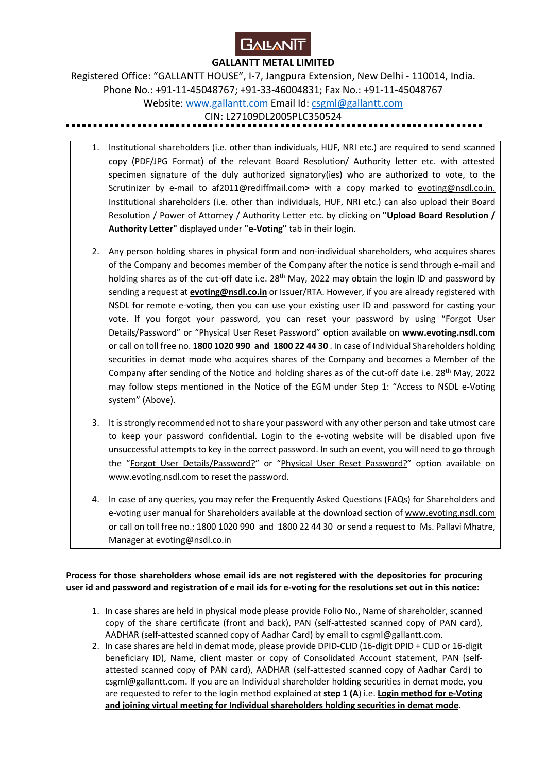

Registered Office: "GALLANTT HOUSE", I-7, Jangpura Extension, New Delhi - 110014, India. Phone No.: +91-11-45048767; +91-33-46004831; Fax No.: +91-11-45048767 Website: www.gallantt.com Email Id: csgml@gallantt.com CIN: L27109DL2005PLC350524

- 1. Institutional shareholders (i.e. other than individuals, HUF, NRI etc.) are required to send scanned copy (PDF/JPG Format) of the relevant Board Resolution/ Authority letter etc. with attested specimen signature of the duly authorized signatory(ies) who are authorized to vote, to the Scrutinizer by e-mail to af2011@rediffmail.com**>** with a copy marked to evoting@nsdl.co.in. Institutional shareholders (i.e. other than individuals, HUF, NRI etc.) can also upload their Board Resolution / Power of Attorney / Authority Letter etc. by clicking on **"Upload Board Resolution / Authority Letter"** displayed under **"e-Voting"** tab in their login.
- 2. Any person holding shares in physical form and non-individual shareholders, who acquires shares of the Company and becomes member of the Company after the notice is send through e-mail and holding shares as of the cut-off date i.e. 28<sup>th</sup> May, 2022 may obtain the login ID and password by sending a request at **evoting@nsdl.co.in** or Issuer/RTA. However, if you are already registered with NSDL for remote e-voting, then you can use your existing user ID and password for casting your vote. If you forgot your password, you can reset your password by using "Forgot User Details/Password" or "Physical User Reset Password" option available on **www.evoting.nsdl.com** or call on toll free no. **1800 1020 990 and 1800 22 44 30** . In case of Individual Shareholders holding securities in demat mode who acquires shares of the Company and becomes a Member of the Company after sending of the Notice and holding shares as of the cut-off date i.e. 28<sup>th</sup> May, 2022 may follow steps mentioned in the Notice of the EGM under Step 1: "Access to NSDL e-Voting system" (Above).
- 3. It is strongly recommended not to share your password with any other person and take utmost care to keep your password confidential. Login to the e-voting website will be disabled upon five unsuccessful attempts to key in the correct password. In such an event, you will need to go through the "Forgot User Details/Password?" or "Physical User Reset Password?" option available on www.evoting.nsdl.com to reset the password.
- 4. In case of any queries, you may refer the Frequently Asked Questions (FAQs) for Shareholders and e-voting user manual for Shareholders available at the download section of www.evoting.nsdl.com or call on toll free no.: 1800 1020 990 and 1800 22 44 30 or send a request to Ms. Pallavi Mhatre, Manager at evoting@nsdl.co.in

**Process for those shareholders whose email ids are not registered with the depositories for procuring user id and password and registration of e mail ids for e-voting for the resolutions set out in this notice**:

- 1. In case shares are held in physical mode please provide Folio No., Name of shareholder, scanned copy of the share certificate (front and back), PAN (self-attested scanned copy of PAN card), AADHAR (self-attested scanned copy of Aadhar Card) by email to csgml@gallantt.com.
- 2. In case shares are held in demat mode, please provide DPID-CLID (16-digit DPID + CLID or 16-digit beneficiary ID), Name, client master or copy of Consolidated Account statement, PAN (selfattested scanned copy of PAN card), AADHAR (self-attested scanned copy of Aadhar Card) to csgml@gallantt.com. If you are an Individual shareholder holding securities in demat mode, you are requested to refer to the login method explained at **step 1 (A**) i.e. **Login method for e-Voting and joining virtual meeting for Individual shareholders holding securities in demat mode**.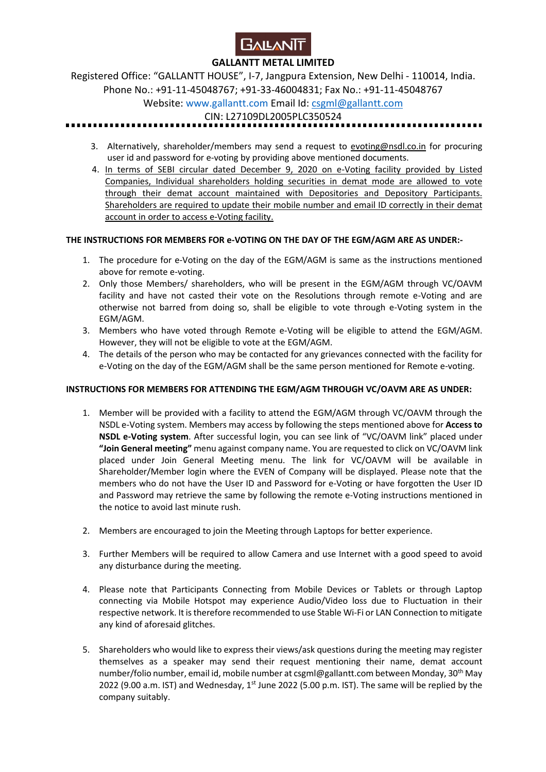

Registered Office: "GALLANTT HOUSE", I-7, Jangpura Extension, New Delhi - 110014, India. Phone No.: +91-11-45048767; +91-33-46004831; Fax No.: +91-11-45048767

# Website: www.gallantt.com Email Id: csgml@gallantt.com

CIN: L27109DL2005PLC350524

- 3. Alternatively, shareholder/members may send a request to evoting@nsdl.co.in for procuring user id and password for e-voting by providing above mentioned documents.
- 4. In terms of SEBI circular dated December 9, 2020 on e-Voting facility provided by Listed Companies, Individual shareholders holding securities in demat mode are allowed to vote through their demat account maintained with Depositories and Depository Participants. Shareholders are required to update their mobile number and email ID correctly in their demat account in order to access e-Voting facility.

## **THE INSTRUCTIONS FOR MEMBERS FOR e-VOTING ON THE DAY OF THE EGM/AGM ARE AS UNDER:-**

- 1. The procedure for e-Voting on the day of the EGM/AGM is same as the instructions mentioned above for remote e-voting.
- 2. Only those Members/ shareholders, who will be present in the EGM/AGM through VC/OAVM facility and have not casted their vote on the Resolutions through remote e-Voting and are otherwise not barred from doing so, shall be eligible to vote through e-Voting system in the EGM/AGM.
- 3. Members who have voted through Remote e-Voting will be eligible to attend the EGM/AGM. However, they will not be eligible to vote at the EGM/AGM.
- 4. The details of the person who may be contacted for any grievances connected with the facility for e-Voting on the day of the EGM/AGM shall be the same person mentioned for Remote e-voting.

## **INSTRUCTIONS FOR MEMBERS FOR ATTENDING THE EGM/AGM THROUGH VC/OAVM ARE AS UNDER:**

- 1. Member will be provided with a facility to attend the EGM/AGM through VC/OAVM through the NSDL e-Voting system. Members may access by following the steps mentioned above for **Access to NSDL e-Voting system**. After successful login, you can see link of "VC/OAVM link" placed under **"Join General meeting"** menu against company name. You are requested to click on VC/OAVM link placed under Join General Meeting menu. The link for VC/OAVM will be available in Shareholder/Member login where the EVEN of Company will be displayed. Please note that the members who do not have the User ID and Password for e-Voting or have forgotten the User ID and Password may retrieve the same by following the remote e-Voting instructions mentioned in the notice to avoid last minute rush.
- 2. Members are encouraged to join the Meeting through Laptops for better experience.
- 3. Further Members will be required to allow Camera and use Internet with a good speed to avoid any disturbance during the meeting.
- 4. Please note that Participants Connecting from Mobile Devices or Tablets or through Laptop connecting via Mobile Hotspot may experience Audio/Video loss due to Fluctuation in their respective network. It is therefore recommended to use Stable Wi-Fi or LAN Connection to mitigate any kind of aforesaid glitches.
- 5. Shareholders who would like to express their views/ask questions during the meeting may register themselves as a speaker may send their request mentioning their name, demat account number/folio number, email id, mobile number at csgml@gallantt.com between Monday, 30<sup>th</sup> May 2022 (9.00 a.m. IST) and Wednesday,  $1^{st}$  June 2022 (5.00 p.m. IST). The same will be replied by the company suitably.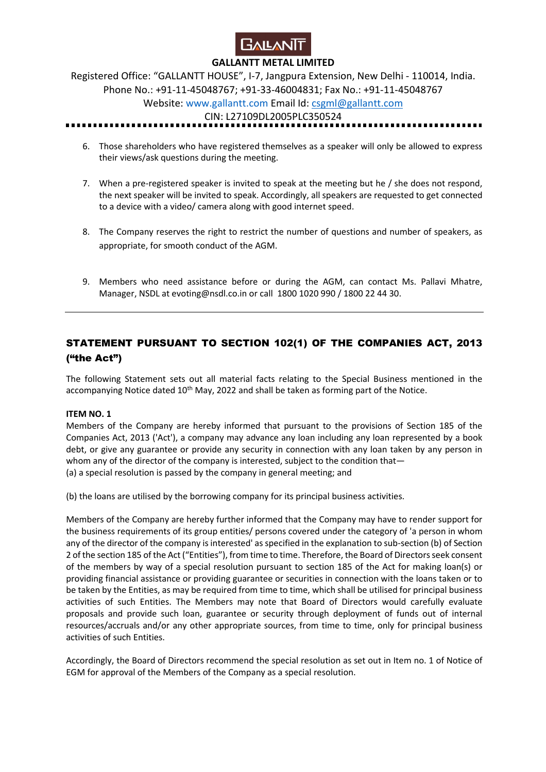

Registered Office: "GALLANTT HOUSE", I-7, Jangpura Extension, New Delhi - 110014, India. Phone No.: +91-11-45048767; +91-33-46004831; Fax No.: +91-11-45048767

Website: www.gallantt.com Email Id: csgml@gallantt.com

CIN: L27109DL2005PLC350524

- 6. Those shareholders who have registered themselves as a speaker will only be allowed to express their views/ask questions during the meeting.
- 7. When a pre-registered speaker is invited to speak at the meeting but he / she does not respond, the next speaker will be invited to speak. Accordingly, all speakers are requested to get connected to a device with a video/ camera along with good internet speed.
- 8. The Company reserves the right to restrict the number of questions and number of speakers, as appropriate, for smooth conduct of the AGM.
- 9. Members who need assistance before or during the AGM, can contact Ms. Pallavi Mhatre, Manager, NSDL at evoting@nsdl.co.in or call 1800 1020 990 / 1800 22 44 30.

# STATEMENT PURSUANT TO SECTION 102(1) OF THE COMPANIES ACT, 2013 ("the Act")

The following Statement sets out all material facts relating to the Special Business mentioned in the accompanying Notice dated  $10<sup>th</sup>$  May, 2022 and shall be taken as forming part of the Notice.

#### **ITEM NO. 1**

Members of the Company are hereby informed that pursuant to the provisions of Section 185 of the Companies Act, 2013 ('Act'), a company may advance any loan including any loan represented by a book debt, or give any guarantee or provide any security in connection with any loan taken by any person in whom any of the director of the company is interested, subject to the condition that— (a) a special resolution is passed by the company in general meeting; and

(b) the loans are utilised by the borrowing company for its principal business activities.

Members of the Company are hereby further informed that the Company may have to render support for the business requirements of its group entities/ persons covered under the category of 'a person in whom any of the director of the company is interested' as specified in the explanation to sub-section (b) of Section 2 of the section 185 of the Act ("Entities"), from time to time. Therefore, the Board of Directors seek consent of the members by way of a special resolution pursuant to section 185 of the Act for making loan(s) or providing financial assistance or providing guarantee or securities in connection with the loans taken or to be taken by the Entities, as may be required from time to time, which shall be utilised for principal business activities of such Entities. The Members may note that Board of Directors would carefully evaluate proposals and provide such loan, guarantee or security through deployment of funds out of internal resources/accruals and/or any other appropriate sources, from time to time, only for principal business activities of such Entities.

Accordingly, the Board of Directors recommend the special resolution as set out in Item no. 1 of Notice of EGM for approval of the Members of the Company as a special resolution.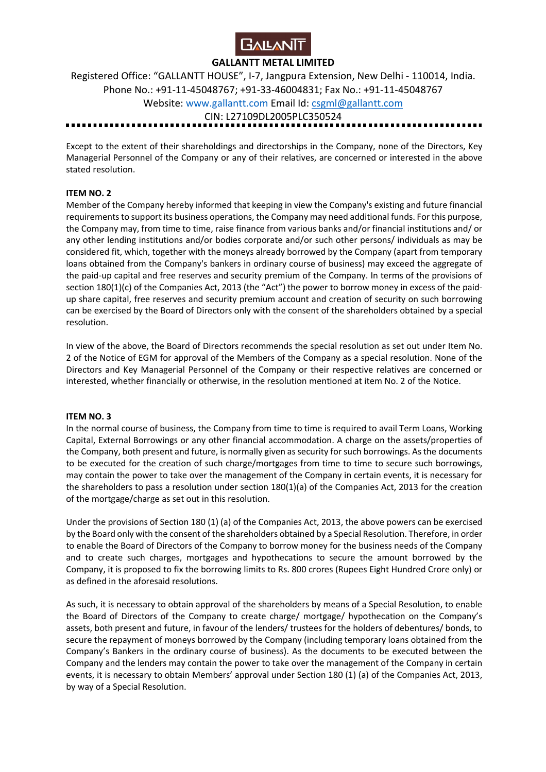

Registered Office: "GALLANTT HOUSE", I-7, Jangpura Extension, New Delhi - 110014, India. Phone No.: +91-11-45048767; +91-33-46004831; Fax No.: +91-11-45048767 Website: www.gallantt.com Email Id: csgml@gallantt.com CIN: L27109DL2005PLC350524

Except to the extent of their shareholdings and directorships in the Company, none of the Directors, Key Managerial Personnel of the Company or any of their relatives, are concerned or interested in the above stated resolution.

#### **ITEM NO. 2**

Member of the Company hereby informed that keeping in view the Company's existing and future financial requirements to support its business operations, the Company may need additional funds. For this purpose, the Company may, from time to time, raise finance from various banks and/or financial institutions and/ or any other lending institutions and/or bodies corporate and/or such other persons/ individuals as may be considered fit, which, together with the moneys already borrowed by the Company (apart from temporary loans obtained from the Company's bankers in ordinary course of business) may exceed the aggregate of the paid-up capital and free reserves and security premium of the Company. In terms of the provisions of section 180(1)(c) of the Companies Act, 2013 (the "Act") the power to borrow money in excess of the paidup share capital, free reserves and security premium account and creation of security on such borrowing can be exercised by the Board of Directors only with the consent of the shareholders obtained by a special resolution.

In view of the above, the Board of Directors recommends the special resolution as set out under Item No. 2 of the Notice of EGM for approval of the Members of the Company as a special resolution. None of the Directors and Key Managerial Personnel of the Company or their respective relatives are concerned or interested, whether financially or otherwise, in the resolution mentioned at item No. 2 of the Notice.

#### **ITEM NO. 3**

In the normal course of business, the Company from time to time is required to avail Term Loans, Working Capital, External Borrowings or any other financial accommodation. A charge on the assets/properties of the Company, both present and future, is normally given as security for such borrowings. As the documents to be executed for the creation of such charge/mortgages from time to time to secure such borrowings, may contain the power to take over the management of the Company in certain events, it is necessary for the shareholders to pass a resolution under section 180(1)(a) of the Companies Act, 2013 for the creation of the mortgage/charge as set out in this resolution.

Under the provisions of Section 180 (1) (a) of the Companies Act, 2013, the above powers can be exercised by the Board only with the consent of the shareholders obtained by a Special Resolution. Therefore, in order to enable the Board of Directors of the Company to borrow money for the business needs of the Company and to create such charges, mortgages and hypothecations to secure the amount borrowed by the Company, it is proposed to fix the borrowing limits to Rs. 800 crores (Rupees Eight Hundred Crore only) or as defined in the aforesaid resolutions.

As such, it is necessary to obtain approval of the shareholders by means of a Special Resolution, to enable the Board of Directors of the Company to create charge/ mortgage/ hypothecation on the Company's assets, both present and future, in favour of the lenders/ trustees for the holders of debentures/ bonds, to secure the repayment of moneys borrowed by the Company (including temporary loans obtained from the Company's Bankers in the ordinary course of business). As the documents to be executed between the Company and the lenders may contain the power to take over the management of the Company in certain events, it is necessary to obtain Members' approval under Section 180 (1) (a) of the Companies Act, 2013, by way of a Special Resolution.